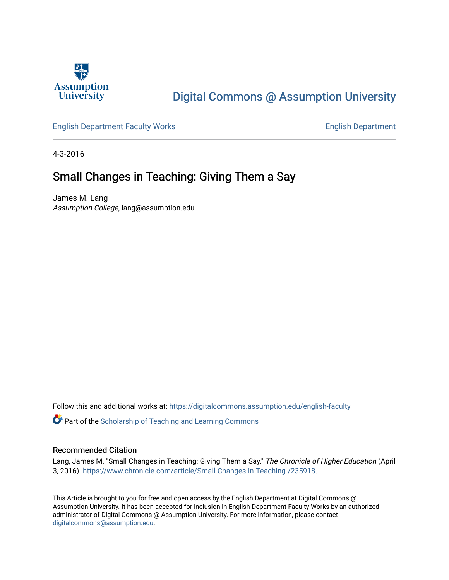

## [Digital Commons @ Assumption University](https://digitalcommons.assumption.edu/)

#### [English Department Faculty Works](https://digitalcommons.assumption.edu/english-faculty) **English Department**

4-3-2016

### Small Changes in Teaching: Giving Them a Say

James M. Lang Assumption College, lang@assumption.edu

Follow this and additional works at: [https://digitalcommons.assumption.edu/english-faculty](https://digitalcommons.assumption.edu/english-faculty?utm_source=digitalcommons.assumption.edu%2Fenglish-faculty%2F9&utm_medium=PDF&utm_campaign=PDFCoverPages) 

**P** Part of the Scholarship of Teaching and Learning Commons

#### Recommended Citation

Lang, James M. "Small Changes in Teaching: Giving Them a Say." The Chronicle of Higher Education (April 3, 2016).<https://www.chronicle.com/article/Small-Changes-in-Teaching-/235918>.

This Article is brought to you for free and open access by the English Department at Digital Commons @ Assumption University. It has been accepted for inclusion in English Department Faculty Works by an authorized administrator of Digital Commons @ Assumption University. For more information, please contact [digitalcommons@assumption.edu](mailto:digitalcommons@assumption.edu).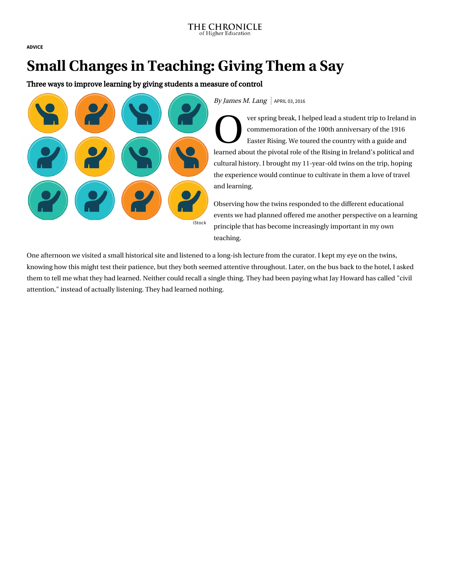[ADVICE](https://www.chronicle.com/section/Advice/66)

# Small Changes in Teaching: Giving Them a Say

Three ways to improve learning by giving students a measure of control



By James M. Lang  $|$  APRIL 03, 2016

O ver sprin ver spring break, I helped lead a student trip to Ireland in [commemoration of the 100th anniversary of the 1916](http://www.irishtimes.com/1916) Easter Rising. We toured the country with a guide and learned about the pivotal role of the Rising in Ireland's political and cultural history. I brought my 11-year-old twins on the trip, hoping the experience would continue to cultivate in them a love of travel and learning.

Observing how the twins responded to the different educational events we had planned offered me another perspective on a learning principle that has become increasingly important in my own teaching.

One afternoon we visited a small historical site and listened to a long-ish lecture from the curator. I kept my eye on the twins, knowing how this might test their patience, but they both seemed attentive throughout. Later, on the bus back to the hotel, I asked [them to tell me what they had learned. Neither could recall a single thing. They had been paying what Jay Howard has called "civil](http://chronicle.com/article/Building-a-Better-Discussion/231685/) attention," instead of actually listening. They had learned nothing.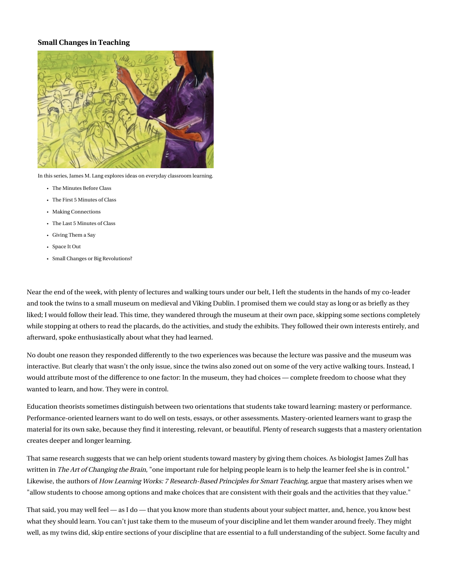#### Small Changes in Teaching



In this series, James M. Lang explores ideas on everyday classroom learning.

- [The Minutes Before Class](https://www.chronicle.com/article/Small-Changes-in-Teaching-The/234178/)
- [The First 5 Minutes of Class](https://www.chronicle.com/article/Small-Changes-in-Teaching-The/234869/)
- [Making Connections](https://www.chronicle.com/article/Small-Changes-in-Teaching-/235230/)
- [The Last 5 Minutes of Class](https://www.chronicle.com/article/Small-Changes-in-Teaching-The/235583/)
- [Giving Them a Say](https://www.chronicle.com/article/Small-Changes-in-Teaching-/235918/)
- [Space It Out](https://www.chronicle.com/article/Small-Changes-in-Teaching-/236479/)
- [Small Changes or Big Revolutions?](https://www.chronicle.com/article/Small-Changes-or-Big/236839/)

Near the end of the week, with plenty of lectures and walking tours under our belt, I left the students in the hands of my co-leader and took the twins to [a small museum](http://www.dublinia.ie/) on medieval and Viking Dublin. I promised them we could stay as long or as briefly as they liked; I would follow their lead. This time, they wandered through the museum at their own pace, skipping some sections completely while stopping at others to read the placards, do the activities, and study the exhibits. They followed their own interests entirely, and afterward, spoke enthusiastically about what they had learned.

No doubt one reason they responded differently to the two experiences was because the lecture was passive and the museum was interactive. But clearly that wasn't the only issue, since the twins also zoned out on some of the very active walking tours. Instead, I would attribute most of the difference to one factor: In the museum, they had choices — complete freedom to choose what they wanted to learn, and how. They were in control.

Education theorists sometimes distinguish between two orientations that students take toward learning: mastery or performance. Performance-oriented learners want to do well on tests, essays, or other assessments. Mastery-oriented learners want to grasp the material for its own sake, because they find it interesting, relevant, or beautiful. Plenty of research suggests that a mastery orientation creates deeper and longer learning.

That same research suggests that we can help orient students toward mastery by giving them choices. As biologist James Zull has written in The Art of Changing the Brain, "one important rule for helping people learn is to help the learner feel she is in control." Likewise, the authors of How Learning Works: 7 Research-Based Principles for Smart Teaching, argue that mastery arises when we "allow students to choose among options and make choices that are consistent with their goals and the activities that they value."

That said, you may well feel — as I do — that you know more than students about your subject matter, and, hence, you know best what they should learn. You can't just take them to the museum of your discipline and let them wander around freely. They might well, as my twins did, skip entire sections of your discipline that are essential to a full understanding of the subject. Some faculty and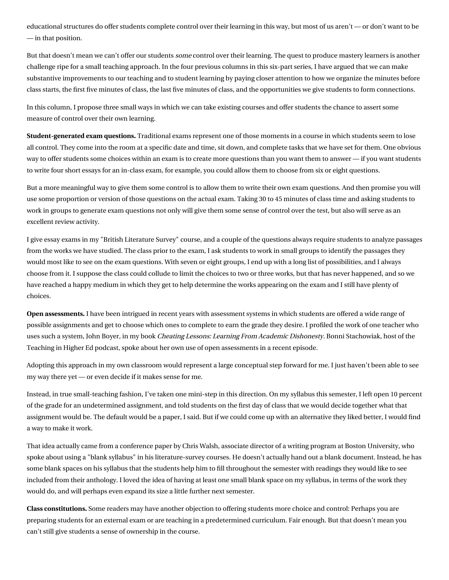educational structures do offer students complete control over their learning in this way, but most of us aren't — or don't want to be — in that position.

But that doesn't mean we can't offer our students *some* control over their learning. The quest to produce mastery learners is another challenge ripe for [a small teaching approach.](http://www.amazon.com/Small-Teaching-Everyday-Lessons-Learning/dp/1118944496/) In the four previous columns in this six-part series, I have argued that we can make [substantive improvements to our teaching and to student learning by paying closer attention to how we organize the minutes before](http://chronicle.com/article/Small-Changes-in-Teaching-The/234869) class starts, the [first five minutes of class,](http://chronicle.com/article/Small-Changes-in-Teaching-The/234178) the [last five minutes of class,](http://chronicle.com/article/Small-Changes-in-Teaching-The/235583) and the opportunities we give students [to form connections.](http://chronicle.com/article/Small-Changes-in-Teaching-/235230)

In this column, I propose three small ways in which we can take existing courses and offer students the chance to assert some measure of control over their own learning.

Student-generated exam questions. Traditional exams represent one of those moments in a course in which students seem to lose all control. They come into the room at a specific date and time, sit down, and complete tasks that we have set for them. One obvious way to offer students some choices within an exam is to create more questions than you want them to answer — if you want students to write four short essays for an in-class exam, for example, you could allow them to choose from six or eight questions.

But a more meaningful way to give them some control is to allow them to write their own exam questions. And then promise you will use some proportion or version of those questions on the actual exam. Taking 30 to 45 minutes of class time and asking students to work in groups to generate exam questions not only will give them some sense of control over the test, but also will serve as an excellent review activity.

I give essay exams in my "British Literature Survey" course, and a couple of the questions always require students to analyze passages from the works we have studied. The class prior to the exam, I ask students to work in small groups to identify the passages they would most like to see on the exam questions. With seven or eight groups, I end up with a long list of possibilities, and I always choose from it. I suppose the class could collude to limit the choices to two or three works, but that has never happened, and so we have reached a happy medium in which they get to help determine the works appearing on the exam and I still have plenty of choices.

Open assessments. I have been intrigued in recent years with assessment systems in which students are offered a wide range of possible assignments and get to choose which ones to complete to earn the grade they desire. I profiled the work of one teacher who uses such a system, John Boyer, in my book [Cheating Lessons: Learning From Academic Dishonesty.](http://www.hup.harvard.edu/catalog.php?isbn=9780674724631) Bonni Stachowiak, host of the [Teaching in Higher Ed podcast,](http://teachinginhighered.com/episodes/) spoke about her own use of open assessments in [a recent episode.](http://teachinginhighered.com/teaching/choose-your-own-adventure-assessment/)

Adopting this approach in my own classroom would represent a large conceptual step forward for me. I just haven't been able to see my way there yet — or even decide if it makes sense for me.

Instead, in true small-teaching fashion, I've taken one mini-step in this direction. On my syllabus this semester, I left open 10 percent of the grade for an undetermined assignment, and told students on the first day of class that we would decide together what that assignment would be. The default would be a paper, I said. But if we could come up with an alternative they liked better, I would find a way to make it work.

That idea actually came from a conference paper by [Chris Walsh,](http://www.bu.edu/writingprogram/people/writing-program-faculty/chris-walsh/) associate director of a writing program at Boston University, who spoke about using a "blank syllabus" in his literature-survey courses. He doesn't actually hand out a blank document. Instead, he has some blank spaces on his syllabus that the students help him to fill throughout the semester with readings they would like to see included from their anthology. I loved the idea of having at least one small blank space on my syllabus, in terms of the work they would do, and will perhaps even expand its size a little further next semester.

Class constitutions. Some readers may have another objection to offering students more choice and control: Perhaps you are preparing students for an external exam or are teaching in a predetermined curriculum. Fair enough. But that doesn't mean you can't still give students a sense of ownership in the course.